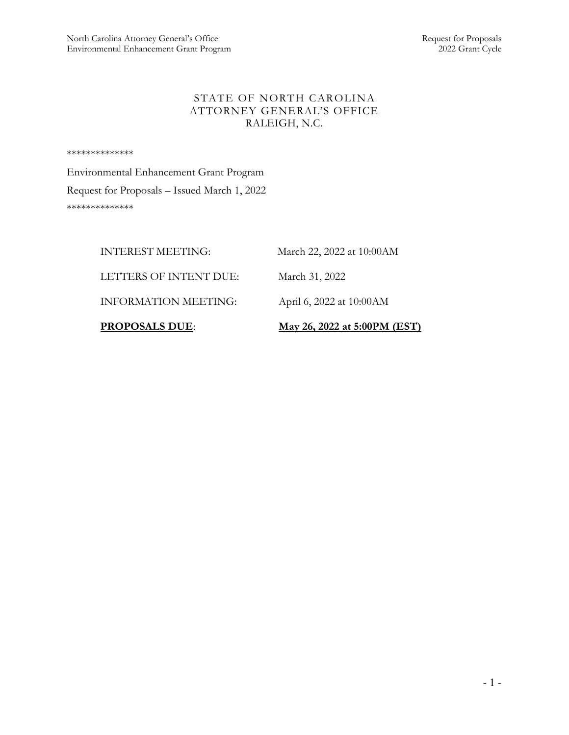# STATE OF NORTH CAROLINA ATTORNEY GENERAL'S OFFICE RALEIGH, N.C.

\*\*\*\*\*\*\*\*\*\*\*\*\*\*

Environmental Enhancement Grant Program Request for Proposals – Issued March 1, 2022 \*\*\*\*\*\*\*\*\*\*\*\*\*\*

| <b>PROPOSALS DUE:</b>       | May 26, 2022 at 5:00PM (EST) |
|-----------------------------|------------------------------|
| <b>INFORMATION MEETING:</b> | April 6, 2022 at 10:00 AM    |
| LETTERS OF INTENT DUE:      | March 31, 2022               |
| <b>INTEREST MEETING:</b>    | March 22, 2022 at 10:00 AM   |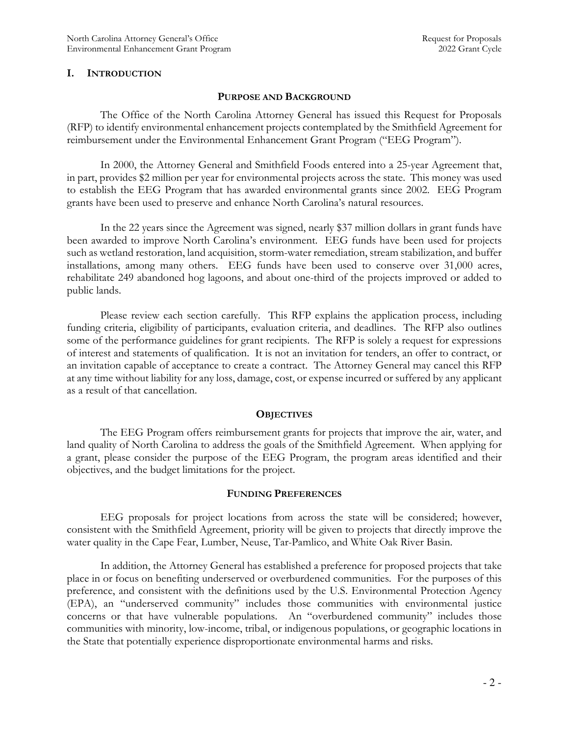### I. INTRODUCTION

### PURPOSE AND BACKGROUND

The Office of the North Carolina Attorney General has issued this Request for Proposals (RFP) to identify environmental enhancement projects contemplated by the Smithfield Agreement for reimbursement under the Environmental Enhancement Grant Program ("EEG Program").

In 2000, the Attorney General and Smithfield Foods entered into a 25-year Agreement that, in part, provides \$2 million per year for environmental projects across the state. This money was used to establish the EEG Program that has awarded environmental grants since 2002. EEG Program grants have been used to preserve and enhance North Carolina's natural resources.

In the 22 years since the Agreement was signed, nearly \$37 million dollars in grant funds have been awarded to improve North Carolina's environment. EEG funds have been used for projects such as wetland restoration, land acquisition, storm-water remediation, stream stabilization, and buffer installations, among many others. EEG funds have been used to conserve over 31,000 acres, rehabilitate 249 abandoned hog lagoons, and about one-third of the projects improved or added to public lands.

Please review each section carefully. This RFP explains the application process, including funding criteria, eligibility of participants, evaluation criteria, and deadlines. The RFP also outlines some of the performance guidelines for grant recipients. The RFP is solely a request for expressions of interest and statements of qualification. It is not an invitation for tenders, an offer to contract, or an invitation capable of acceptance to create a contract. The Attorney General may cancel this RFP at any time without liability for any loss, damage, cost, or expense incurred or suffered by any applicant as a result of that cancellation.

#### **OBJECTIVES**

The EEG Program offers reimbursement grants for projects that improve the air, water, and land quality of North Carolina to address the goals of the Smithfield Agreement. When applying for a grant, please consider the purpose of the EEG Program, the program areas identified and their objectives, and the budget limitations for the project.

### FUNDING PREFERENCES

EEG proposals for project locations from across the state will be considered; however, consistent with the Smithfield Agreement, priority will be given to projects that directly improve the water quality in the Cape Fear, Lumber, Neuse, Tar-Pamlico, and White Oak River Basin.

In addition, the Attorney General has established a preference for proposed projects that take place in or focus on benefiting underserved or overburdened communities. For the purposes of this preference, and consistent with the definitions used by the U.S. Environmental Protection Agency (EPA), an "underserved community" includes those communities with environmental justice concerns or that have vulnerable populations. An "overburdened community" includes those communities with minority, low-income, tribal, or indigenous populations, or geographic locations in the State that potentially experience disproportionate environmental harms and risks.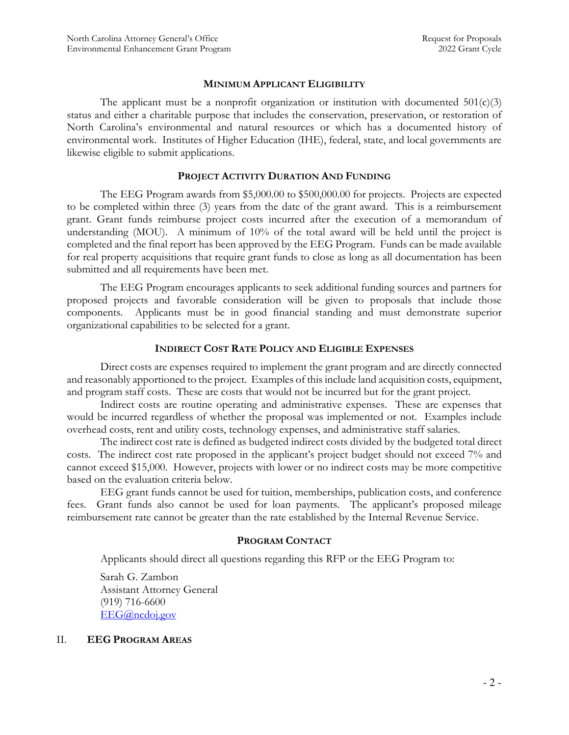### MINIMUM APPLICANT ELIGIBILITY

The applicant must be a nonprofit organization or institution with documented  $501(c)(3)$ status and either a charitable purpose that includes the conservation, preservation, or restoration of North Carolina's environmental and natural resources or which has a documented history of environmental work. Institutes of Higher Education (IHE), federal, state, and local governments are likewise eligible to submit applications.

#### PROJECT ACTIVITY DURATION AND FUNDING

The EEG Program awards from \$5,000.00 to \$500,000.00 for projects. Projects are expected to be completed within three (3) years from the date of the grant award. This is a reimbursement grant. Grant funds reimburse project costs incurred after the execution of a memorandum of understanding (MOU). A minimum of 10% of the total award will be held until the project is completed and the final report has been approved by the EEG Program. Funds can be made available for real property acquisitions that require grant funds to close as long as all documentation has been submitted and all requirements have been met.

The EEG Program encourages applicants to seek additional funding sources and partners for proposed projects and favorable consideration will be given to proposals that include those components. Applicants must be in good financial standing and must demonstrate superior organizational capabilities to be selected for a grant.

#### INDIRECT COST RATE POLICY AND ELIGIBLE EXPENSES

 Direct costs are expenses required to implement the grant program and are directly connected and reasonably apportioned to the project. Examples of this include land acquisition costs, equipment, and program staff costs. These are costs that would not be incurred but for the grant project.

 Indirect costs are routine operating and administrative expenses. These are expenses that would be incurred regardless of whether the proposal was implemented or not. Examples include overhead costs, rent and utility costs, technology expenses, and administrative staff salaries.

The indirect cost rate is defined as budgeted indirect costs divided by the budgeted total direct costs. The indirect cost rate proposed in the applicant's project budget should not exceed 7% and cannot exceed \$15,000. However, projects with lower or no indirect costs may be more competitive based on the evaluation criteria below.

EEG grant funds cannot be used for tuition, memberships, publication costs, and conference fees. Grant funds also cannot be used for loan payments. The applicant's proposed mileage reimbursement rate cannot be greater than the rate established by the Internal Revenue Service.

### PROGRAM CONTACT

Applicants should direct all questions regarding this RFP or the EEG Program to:

Sarah G. Zambon Assistant Attorney General (919) 716-6600 EEG@ncdoj.gov

### II. EEG PROGRAM AREAS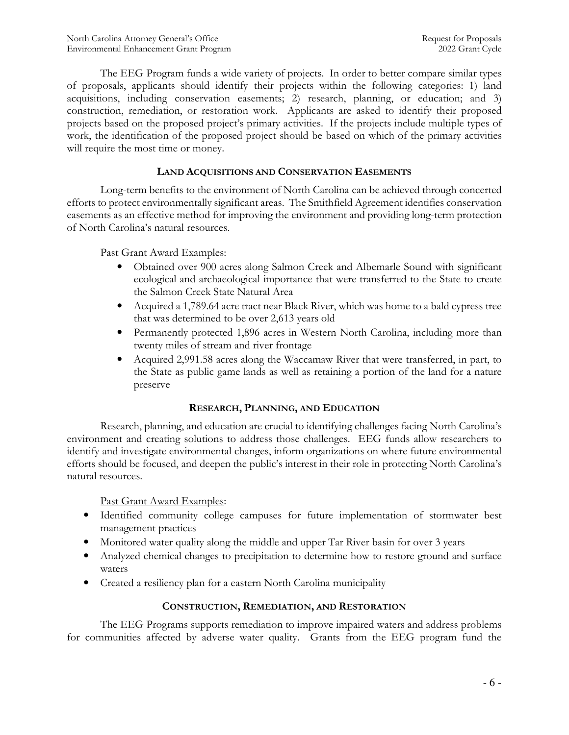The EEG Program funds a wide variety of projects. In order to better compare similar types of proposals, applicants should identify their projects within the following categories: 1) land acquisitions, including conservation easements; 2) research, planning, or education; and 3) construction, remediation, or restoration work. Applicants are asked to identify their proposed projects based on the proposed project's primary activities. If the projects include multiple types of work, the identification of the proposed project should be based on which of the primary activities will require the most time or money.

# LAND ACQUISITIONS AND CONSERVATION EASEMENTS

Long-term benefits to the environment of North Carolina can be achieved through concerted efforts to protect environmentally significant areas. The Smithfield Agreement identifies conservation easements as an effective method for improving the environment and providing long-term protection of North Carolina's natural resources.

# Past Grant Award Examples:

- Obtained over 900 acres along Salmon Creek and Albemarle Sound with significant ecological and archaeological importance that were transferred to the State to create the Salmon Creek State Natural Area
- Acquired a 1,789.64 acre tract near Black River, which was home to a bald cypress tree that was determined to be over 2,613 years old
- Permanently protected 1,896 acres in Western North Carolina, including more than twenty miles of stream and river frontage
- Acquired 2,991.58 acres along the Waccamaw River that were transferred, in part, to the State as public game lands as well as retaining a portion of the land for a nature preserve

# RESEARCH, PLANNING, AND EDUCATION

 Research, planning, and education are crucial to identifying challenges facing North Carolina's environment and creating solutions to address those challenges. EEG funds allow researchers to identify and investigate environmental changes, inform organizations on where future environmental efforts should be focused, and deepen the public's interest in their role in protecting North Carolina's natural resources.

Past Grant Award Examples:

- Identified community college campuses for future implementation of stormwater best management practices
- Monitored water quality along the middle and upper Tar River basin for over 3 years
- Analyzed chemical changes to precipitation to determine how to restore ground and surface waters
- Created a resiliency plan for a eastern North Carolina municipality

# CONSTRUCTION, REMEDIATION, AND RESTORATION

 The EEG Programs supports remediation to improve impaired waters and address problems for communities affected by adverse water quality. Grants from the EEG program fund the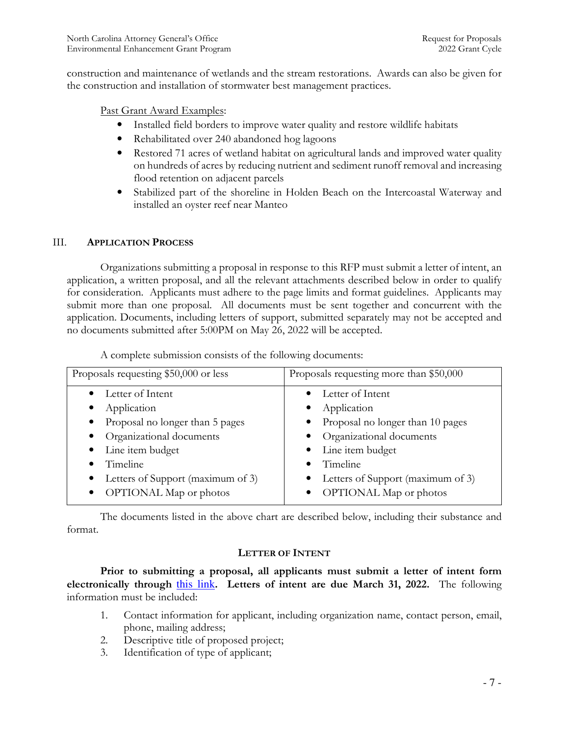construction and maintenance of wetlands and the stream restorations. Awards can also be given for the construction and installation of stormwater best management practices.

Past Grant Award Examples:

- Installed field borders to improve water quality and restore wildlife habitats
- Rehabilitated over 240 abandoned hog lagoons
- Restored 71 acres of wetland habitat on agricultural lands and improved water quality on hundreds of acres by reducing nutrient and sediment runoff removal and increasing flood retention on adjacent parcels
- Stabilized part of the shoreline in Holden Beach on the Intercoastal Waterway and installed an oyster reef near Manteo

# III. APPLICATION PROCESS

Organizations submitting a proposal in response to this RFP must submit a letter of intent, an application, a written proposal, and all the relevant attachments described below in order to qualify for consideration. Applicants must adhere to the page limits and format guidelines. Applicants may submit more than one proposal. All documents must be sent together and concurrent with the application. Documents, including letters of support, submitted separately may not be accepted and no documents submitted after 5:00PM on May 26, 2022 will be accepted.

| Proposals requesting \$50,000 or less          | Proposals requesting more than \$50,000 |  |
|------------------------------------------------|-----------------------------------------|--|
| Letter of Intent                               | Letter of Intent                        |  |
| Application<br>$\bullet$                       | Application                             |  |
| Proposal no longer than 5 pages                | • Proposal no longer than 10 pages      |  |
| Organizational documents                       | • Organizational documents              |  |
| Line item budget<br>$\bullet$                  | • Line item budget                      |  |
| Timeline                                       | Timeline                                |  |
| Letters of Support (maximum of 3)<br>$\bullet$ | • Letters of Support (maximum of 3)     |  |
| <b>OPTIONAL</b> Map or photos<br>$\bullet$     | OPTIONAL Map or photos                  |  |

A complete submission consists of the following documents:

The documents listed in the above chart are described below, including their substance and format.

# LETTER OF INTENT

Prior to submitting a proposal, all applicants must submit a letter of intent form electronically through this link. Letters of intent are due March 31, 2022. The following information must be included:

- 1. Contact information for applicant, including organization name, contact person, email, phone, mailing address;
- 2. Descriptive title of proposed project;
- 3. Identification of type of applicant;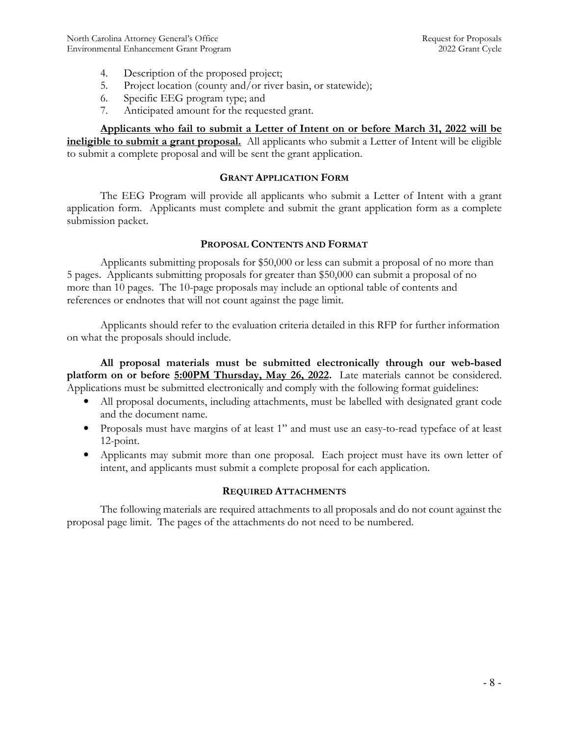- 4. Description of the proposed project;
- 5. Project location (county and/or river basin, or statewide);
- 6. Specific EEG program type; and
- 7. Anticipated amount for the requested grant.

Applicants who fail to submit a Letter of Intent on or before March 31, 2022 will be ineligible to submit a grant proposal. All applicants who submit a Letter of Intent will be eligible to submit a complete proposal and will be sent the grant application.

#### GRANT APPLICATION FORM

The EEG Program will provide all applicants who submit a Letter of Intent with a grant application form. Applicants must complete and submit the grant application form as a complete submission packet.

#### PROPOSAL CONTENTS AND FORMAT

Applicants submitting proposals for \$50,000 or less can submit a proposal of no more than 5 pages. Applicants submitting proposals for greater than \$50,000 can submit a proposal of no more than 10 pages. The 10-page proposals may include an optional table of contents and references or endnotes that will not count against the page limit.

Applicants should refer to the evaluation criteria detailed in this RFP for further information on what the proposals should include.

All proposal materials must be submitted electronically through our web-based platform on or before 5:00PM Thursday, May 26, 2022. Late materials cannot be considered. Applications must be submitted electronically and comply with the following format guidelines:

- All proposal documents, including attachments, must be labelled with designated grant code and the document name.
- Proposals must have margins of at least 1" and must use an easy-to-read typeface of at least 12-point.
- Applicants may submit more than one proposal. Each project must have its own letter of intent, and applicants must submit a complete proposal for each application.

### REQUIRED ATTACHMENTS

The following materials are required attachments to all proposals and do not count against the proposal page limit. The pages of the attachments do not need to be numbered.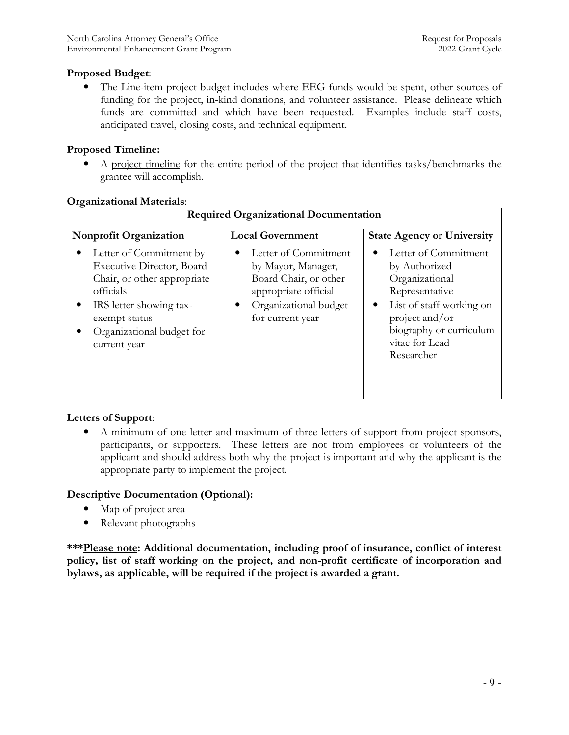# Proposed Budget:

The Line-item project budget includes where EEG funds would be spent, other sources of funding for the project, in-kind donations, and volunteer assistance. Please delineate which funds are committed and which have been requested. Examples include staff costs, anticipated travel, closing costs, and technical equipment.

# Proposed Timeline:

• A project timeline for the entire period of the project that identifies tasks/benchmarks the grantee will accomplish.

| $\sigma$ <sub>gan</sub> zadonal matemais.<br><b>Required Organizational Documentation</b>                                                                                                        |                                                                                                                                                            |                                                                                                                                                                                                 |  |  |
|--------------------------------------------------------------------------------------------------------------------------------------------------------------------------------------------------|------------------------------------------------------------------------------------------------------------------------------------------------------------|-------------------------------------------------------------------------------------------------------------------------------------------------------------------------------------------------|--|--|
| Nonprofit Organization                                                                                                                                                                           | <b>Local Government</b>                                                                                                                                    | <b>State Agency or University</b>                                                                                                                                                               |  |  |
| Letter of Commitment by<br><b>Executive Director, Board</b><br>Chair, or other appropriate<br>officials<br>IRS letter showing tax-<br>exempt status<br>Organizational budget for<br>current year | Letter of Commitment<br>٠<br>by Mayor, Manager,<br>Board Chair, or other<br>appropriate official<br>Organizational budget<br>$\bullet$<br>for current year | Letter of Commitment<br>by Authorized<br>Organizational<br>Representative<br>List of staff working on<br>$\bullet$<br>project and/or<br>biography or curriculum<br>vitae for Lead<br>Researcher |  |  |

### Organizational Materials:

# Letters of Support:

• A minimum of one letter and maximum of three letters of support from project sponsors, participants, or supporters. These letters are not from employees or volunteers of the applicant and should address both why the project is important and why the applicant is the appropriate party to implement the project.

# Descriptive Documentation (Optional):

- Map of project area
- Relevant photographs

\*\*\*Please note: Additional documentation, including proof of insurance, conflict of interest policy, list of staff working on the project, and non-profit certificate of incorporation and bylaws, as applicable, will be required if the project is awarded a grant.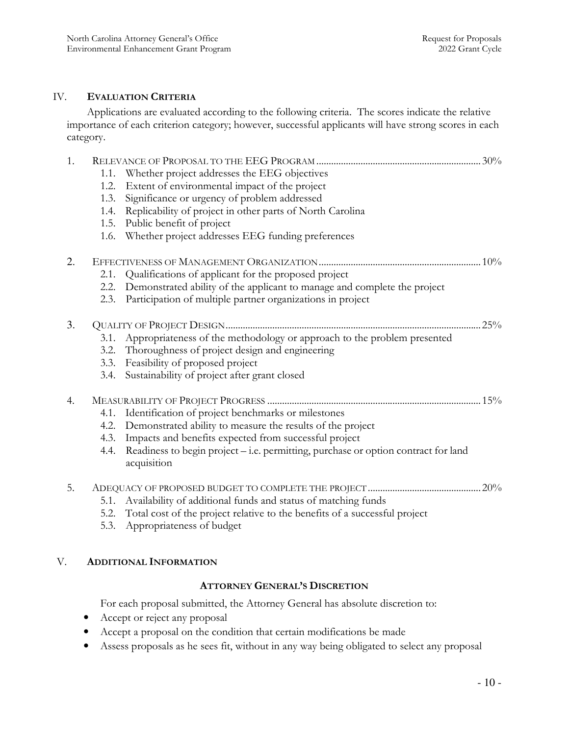### IV. EVALUATION CRITERIA

Applications are evaluated according to the following criteria. The scores indicate the relative importance of each criterion category; however, successful applicants will have strong scores in each category.

| 1. |      |                                                                                                   |  |
|----|------|---------------------------------------------------------------------------------------------------|--|
|    | 1.1. | Whether project addresses the EEG objectives                                                      |  |
|    | 1.2. | Extent of environmental impact of the project                                                     |  |
|    | 1.3. | Significance or urgency of problem addressed                                                      |  |
|    | 1.4. | Replicability of project in other parts of North Carolina                                         |  |
|    | 1.5. | Public benefit of project                                                                         |  |
|    | 1.6. | Whether project addresses EEG funding preferences                                                 |  |
| 2. |      |                                                                                                   |  |
|    | 2.1. | Qualifications of applicant for the proposed project                                              |  |
|    | 2.2. | Demonstrated ability of the applicant to manage and complete the project                          |  |
|    | 2.3. | Participation of multiple partner organizations in project                                        |  |
| 3. |      |                                                                                                   |  |
|    | 3.1. | Appropriateness of the methodology or approach to the problem presented                           |  |
|    | 3.2. | Thoroughness of project design and engineering                                                    |  |
|    | 3.3. | Feasibility of proposed project                                                                   |  |
|    | 3.4. | Sustainability of project after grant closed                                                      |  |
| 4. |      |                                                                                                   |  |
|    | 4.1. | Identification of project benchmarks or milestones                                                |  |
|    | 4.2. | Demonstrated ability to measure the results of the project                                        |  |
|    | 4.3. | Impacts and benefits expected from successful project                                             |  |
|    | 4.4. | Readiness to begin project - i.e. permitting, purchase or option contract for land<br>acquisition |  |
| 5. |      |                                                                                                   |  |
|    | 5.1. | Availability of additional funds and status of matching funds                                     |  |
|    |      | 5.2. Total cost of the project relative to the benefits of a successful project                   |  |
|    | 5.3. | Appropriateness of budget                                                                         |  |
|    |      |                                                                                                   |  |

### V. ADDITIONAL INFORMATION

### ATTORNEY GENERAL'S DISCRETION

For each proposal submitted, the Attorney General has absolute discretion to:

- Accept or reject any proposal
- Accept a proposal on the condition that certain modifications be made
- Assess proposals as he sees fit, without in any way being obligated to select any proposal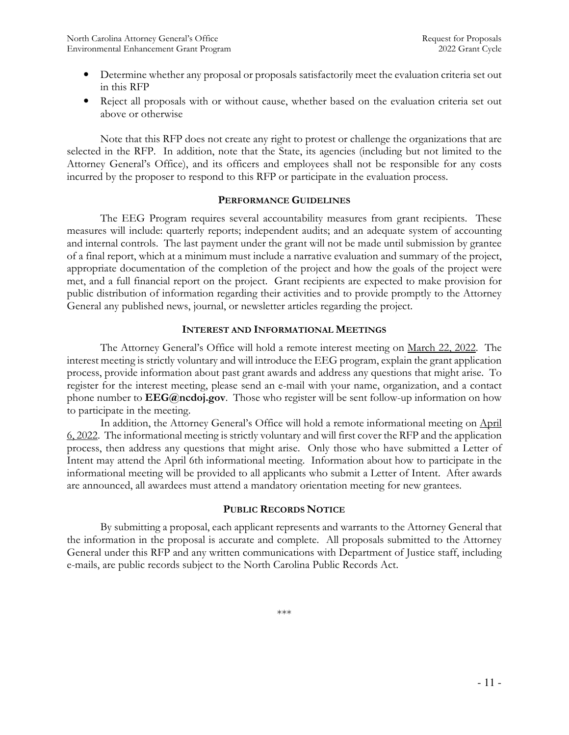- Determine whether any proposal or proposals satisfactorily meet the evaluation criteria set out in this RFP
- Reject all proposals with or without cause, whether based on the evaluation criteria set out above or otherwise

Note that this RFP does not create any right to protest or challenge the organizations that are selected in the RFP. In addition, note that the State, its agencies (including but not limited to the Attorney General's Office), and its officers and employees shall not be responsible for any costs incurred by the proposer to respond to this RFP or participate in the evaluation process.

#### PERFORMANCE GUIDELINES

The EEG Program requires several accountability measures from grant recipients. These measures will include: quarterly reports; independent audits; and an adequate system of accounting and internal controls. The last payment under the grant will not be made until submission by grantee of a final report, which at a minimum must include a narrative evaluation and summary of the project, appropriate documentation of the completion of the project and how the goals of the project were met, and a full financial report on the project. Grant recipients are expected to make provision for public distribution of information regarding their activities and to provide promptly to the Attorney General any published news, journal, or newsletter articles regarding the project.

### INTEREST AND INFORMATIONAL MEETINGS

The Attorney General's Office will hold a remote interest meeting on March 22, 2022. The interest meeting is strictly voluntary and will introduce the EEG program, explain the grant application process, provide information about past grant awards and address any questions that might arise. To register for the interest meeting, please send an e-mail with your name, organization, and a contact phone number to **EEG@ncdoj.gov**. Those who register will be sent follow-up information on how to participate in the meeting.

In addition, the Attorney General's Office will hold a remote informational meeting on April 6, 2022. The informational meeting is strictly voluntary and will first cover the RFP and the application process, then address any questions that might arise. Only those who have submitted a Letter of Intent may attend the April 6th informational meeting. Information about how to participate in the informational meeting will be provided to all applicants who submit a Letter of Intent. After awards are announced, all awardees must attend a mandatory orientation meeting for new grantees.

### PUBLIC RECORDS NOTICE

By submitting a proposal, each applicant represents and warrants to the Attorney General that the information in the proposal is accurate and complete. All proposals submitted to the Attorney General under this RFP and any written communications with Department of Justice staff, including e-mails, are public records subject to the North Carolina Public Records Act.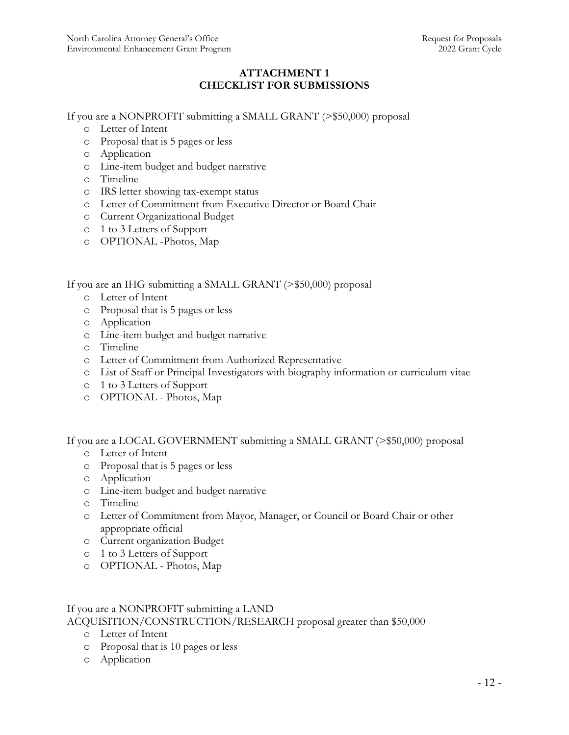# ATTACHMENT 1 CHECKLIST FOR SUBMISSIONS

If you are a NONPROFIT submitting a SMALL GRANT (>\$50,000) proposal

- o Letter of Intent
- o Proposal that is 5 pages or less
- o Application
- o Line-item budget and budget narrative
- o Timeline
- o IRS letter showing tax-exempt status
- o Letter of Commitment from Executive Director or Board Chair
- o Current Organizational Budget
- o 1 to 3 Letters of Support
- o OPTIONAL -Photos, Map

If you are an IHG submitting a SMALL GRANT (>\$50,000) proposal

- o Letter of Intent
- o Proposal that is 5 pages or less
- o Application
- o Line-item budget and budget narrative
- o Timeline
- o Letter of Commitment from Authorized Representative
- o List of Staff or Principal Investigators with biography information or curriculum vitae
- o 1 to 3 Letters of Support
- o OPTIONAL Photos, Map

If you are a LOCAL GOVERNMENT submitting a SMALL GRANT (>\$50,000) proposal

- o Letter of Intent
- o Proposal that is 5 pages or less
- o Application
- o Line-item budget and budget narrative
- o Timeline
- o Letter of Commitment from Mayor, Manager, or Council or Board Chair or other appropriate official
- o Current organization Budget
- o 1 to 3 Letters of Support
- o OPTIONAL Photos, Map

#### If you are a NONPROFIT submitting a LAND ACQUISITION/CONSTRUCTION/RESEARCH proposal greater than \$50,000

- o Letter of Intent
- o Proposal that is 10 pages or less
- o Application